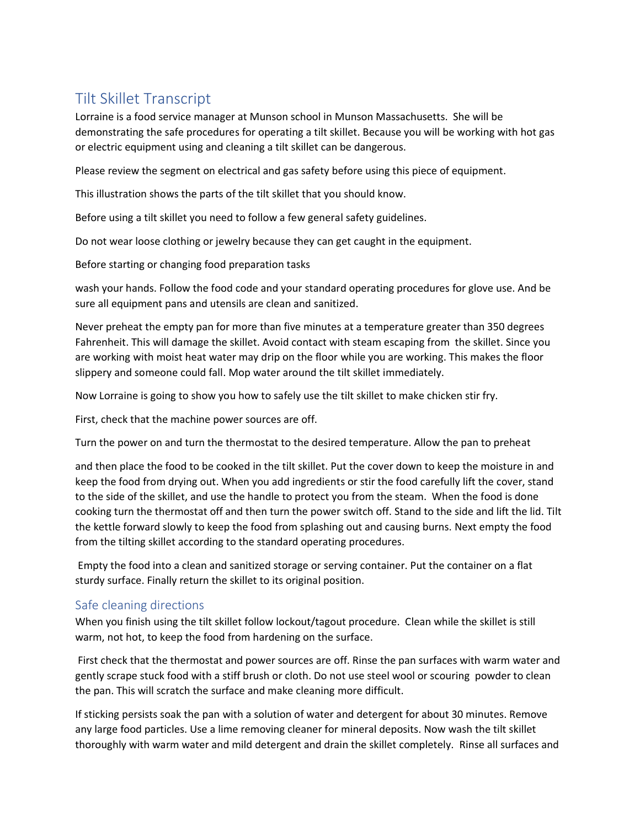## Tilt Skillet Transcript

Lorraine is a food service manager at Munson school in Munson Massachusetts. She will be demonstrating the safe procedures for operating a tilt skillet. Because you will be working with hot gas or electric equipment using and cleaning a tilt skillet can be dangerous.

Please review the segment on electrical and gas safety before using this piece of equipment.

This illustration shows the parts of the tilt skillet that you should know.

Before using a tilt skillet you need to follow a few general safety guidelines.

Do not wear loose clothing or jewelry because they can get caught in the equipment.

Before starting or changing food preparation tasks

wash your hands. Follow the food code and your standard operating procedures for glove use. And be sure all equipment pans and utensils are clean and sanitized.

Never preheat the empty pan for more than five minutes at a temperature greater than 350 degrees Fahrenheit. This will damage the skillet. Avoid contact with steam escaping from the skillet. Since you are working with moist heat water may drip on the floor while you are working. This makes the floor slippery and someone could fall. Mop water around the tilt skillet immediately.

Now Lorraine is going to show you how to safely use the tilt skillet to make chicken stir fry.

First, check that the machine power sources are off.

Turn the power on and turn the thermostat to the desired temperature. Allow the pan to preheat

and then place the food to be cooked in the tilt skillet. Put the cover down to keep the moisture in and keep the food from drying out. When you add ingredients or stir the food carefully lift the cover, stand to the side of the skillet, and use the handle to protect you from the steam. When the food is done cooking turn the thermostat off and then turn the power switch off. Stand to the side and lift the lid. Tilt the kettle forward slowly to keep the food from splashing out and causing burns. Next empty the food from the tilting skillet according to the standard operating procedures.

Empty the food into a clean and sanitized storage or serving container. Put the container on a flat sturdy surface. Finally return the skillet to its original position.

## Safe cleaning directions

When you finish using the tilt skillet follow lockout/tagout procedure. Clean while the skillet is still warm, not hot, to keep the food from hardening on the surface.

First check that the thermostat and power sources are off. Rinse the pan surfaces with warm water and gently scrape stuck food with a stiff brush or cloth. Do not use steel wool or scouring powder to clean the pan. This will scratch the surface and make cleaning more difficult.

If sticking persists soak the pan with a solution of water and detergent for about 30 minutes. Remove any large food particles. Use a lime removing cleaner for mineral deposits. Now wash the tilt skillet thoroughly with warm water and mild detergent and drain the skillet completely. Rinse all surfaces and